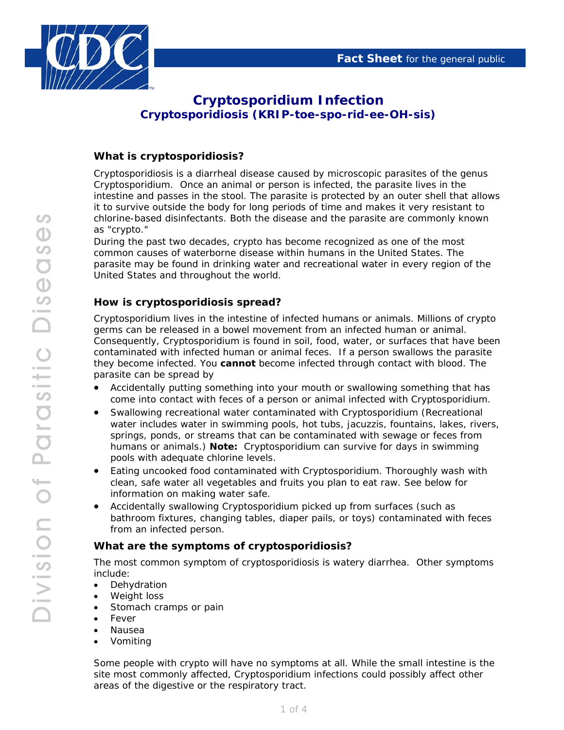

# *Cryptosporidium* **Infection Cryptosporidiosis (KRIP-toe-spo-rid-ee-OH-sis)**

# **What is cryptosporidiosis?**

Cryptosporidiosis is a diarrheal disease caused by microscopic parasites of the genus *Cryptosporidium*. Once an animal or person is infected, the parasite lives in the intestine and passes in the stool. The parasite is protected by an outer shell that allows it to survive outside the body for long periods of time and makes it very resistant to chlorine-based disinfectants. Both the disease and the parasite are commonly known as "crypto."

During the past two decades, crypto has become recognized as one of the most common causes of waterborne disease within humans in the United States. The parasite may be found in drinking water and recreational water in every region of the United States and throughout the world.

# **How is cryptosporidiosis spread?**

*Cryptosporidium* lives in the intestine of infected humans or animals. Millions of crypto germs can be released in a bowel movement from an infected human or animal. Consequently, *Cryptosporidium* is found in soil, food, water, or surfaces that have been contaminated with infected human or animal feces. If a person swallows the parasite they become infected. You **cannot** become infected through contact with blood. The parasite can be spread by

- Accidentally putting something into your mouth or swallowing something that has come into contact with feces of a person or animal infected with *Cryptosporidium*.
- Swallowing recreational water contaminated with *Cryptosporidium* (Recreational water includes water in swimming pools, hot tubs, jacuzzis, fountains, lakes, rivers, springs, ponds, or streams that can be contaminated with sewage or feces from humans or animals.) **Note:** *Cryptosporidium* can survive for days in swimming pools with adequate chlorine levels.
- Eating uncooked food contaminated with *Cryptosporidium*. Thoroughly wash with clean, safe water all vegetables and fruits you plan to eat raw. See below for information on making water safe.
- Accidentally swallowing *Cryptosporidium* picked up from surfaces (such as bathroom fixtures, changing tables, diaper pails, or toys) contaminated with feces from an infected person.

# **What are the symptoms of cryptosporidiosis?**

The most common symptom of cryptosporidiosis is watery diarrhea. Other symptoms include:

- Dehydration
- Weight loss
- Stomach cramps or pain
- Fever
- Nausea
- Vomiting

Some people with crypto will have no symptoms at all. While the small intestine is the site most commonly affected, *Cryptosporidium* infections could possibly affect other areas of the digestive or the respiratory tract.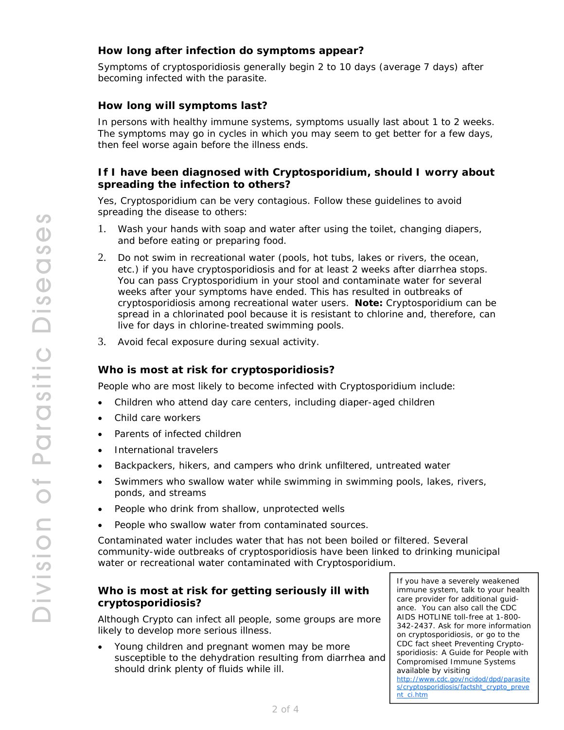# **How long after infection do symptoms appear?**

Symptoms of cryptosporidiosis generally begin 2 to 10 days (average 7 days) after becoming infected with the parasite.

# **How long will symptoms last?**

In persons with healthy immune systems, symptoms usually last about 1 to 2 weeks. The symptoms may go in cycles in which you may seem to get better for a few days, then feel worse again before the illness ends.

# **If I have been diagnosed with** *Cryptosporidium***, should I worry about spreading the infection to others?**

Yes, *Cryptosporidium* can be very contagious. Follow these guidelines to avoid spreading the disease to others:

- 1. Wash your hands with soap and water after using the toilet, changing diapers, and before eating or preparing food.
- 2. Do not swim in recreational water (pools, hot tubs, lakes or rivers, the ocean, etc.) if you have cryptosporidiosis and for at least 2 weeks after diarrhea stops. You can pass *Cryptosporidium* in your stool and contaminate water for several weeks after your symptoms have ended. This has resulted in outbreaks of cryptosporidiosis among recreational water users. **Note:** Cryptosporidium can be spread in a chlorinated pool because it is resistant to chlorine and, therefore, can live for days in chlorine-treated swimming pools.
- 3. Avoid fecal exposure during sexual activity.

# **Who is most at risk for cryptosporidiosis?**

People who are most likely to become infected with *Cryptosporidium* include:

- Children who attend day care centers, including diaper-aged children
- Child care workers
- Parents of infected children
- International travelers
- Backpackers, hikers, and campers who drink unfiltered, untreated water
- Swimmers who swallow water while swimming in swimming pools, lakes, rivers, ponds, and streams
- People who drink from shallow, unprotected wells
- People who swallow water from contaminated sources.

Contaminated water includes water that has not been boiled or filtered. Several community-wide outbreaks of cryptosporidiosis have been linked to drinking municipal water or recreational water contaminated with *Cryptosporidium.*

# **Who is most at risk for getting seriously ill with cryptosporidiosis?**

Although Crypto can infect all people, some groups are more likely to develop more serious illness.

• Young children and pregnant women may be more susceptible to the dehydration resulting from diarrhea and should drink plenty of fluids while ill.

If you have a severely weakened immune system, talk to your health care provider for additional guidance. You can also call the CDC AIDS HOTLINE toll-free at 1-800- 342-2437. Ask for more information on cryptosporidiosis, or go to the CDC fact sheet *Preventing Cryptosporidiosis: A Guide for People with Compromised Immune Systems* available by visiting http://www.cdc.gov/ncidod/dpd/parasite s/cryptosporidiosis/factsht\_crypto\_preve nt\_ci.htm

 $\bullet$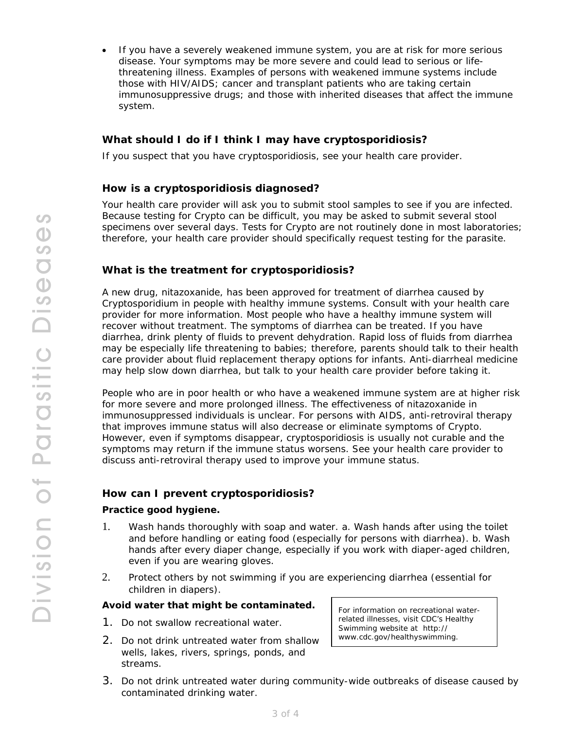• If you have a severely weakened immune system, you are at risk for more serious disease. Your symptoms may be more severe and could lead to serious or lifethreatening illness. Examples of persons with weakened immune systems include those with HIV/AIDS; cancer and transplant patients who are taking certain immunosuppressive drugs; and those with inherited diseases that affect the immune system.

# **What should I do if I think I may have cryptosporidiosis?**

If you suspect that you have cryptosporidiosis, see your health care provider.

### **How is a cryptosporidiosis diagnosed?**

Your health care provider will ask you to submit stool samples to see if you are infected. Because testing for Crypto can be difficult, you may be asked to submit several stool specimens over several days. Tests for Crypto are not routinely done in most laboratories; therefore, your health care provider should specifically request testing for the parasite.

# **What is the treatment for cryptosporidiosis?**

A new drug, nitazoxanide, has been approved for treatment of diarrhea caused by *Cryptosporidium* in people with healthy immune systems. Consult with your health care provider for more information. Most people who have a healthy immune system will recover without treatment. The symptoms of diarrhea can be treated. If you have diarrhea, drink plenty of fluids to prevent dehydration. Rapid loss of fluids from diarrhea may be especially life threatening to babies; therefore, parents should talk to their health care provider about fluid replacement therapy options for infants. Anti-diarrheal medicine may help slow down diarrhea, but talk to your health care provider before taking it.

People who are in poor health or who have a weakened immune system are at higher risk for more severe and more prolonged illness. The effectiveness of nitazoxanide in immunosuppressed individuals is unclear. For persons with AIDS, anti-retroviral therapy that improves immune status will also decrease or eliminate symptoms of Crypto. However, even if symptoms disappear, cryptosporidiosis is usually not curable and the symptoms may return if the immune status worsens. See your health care provider to discuss anti-retroviral therapy used to improve your immune status.

# **How can I prevent cryptosporidiosis?**

### **Practice good hygiene.**

- 1. Wash hands thoroughly with soap and water. a. Wash hands after using the toilet and before handling or eating food (especially for persons with diarrhea). b. Wash hands after every diaper change, especially if you work with diaper-aged children, even if you are wearing gloves.
- 2. Protect others by not swimming if you are experiencing diarrhea (essential for children in diapers).

# **Avoid water that might be contaminated.**

- 1. Do not swallow recreational water.
- 2. Do not drink untreated water from shallow wells, lakes, rivers, springs, ponds, and streams.

For information on recreational waterrelated illnesses, visit CDC's Healthy Swimming website at http:// www.cdc.gov/healthyswimming.

3. Do not drink untreated water during community-wide outbreaks of disease caused by contaminated drinking water.